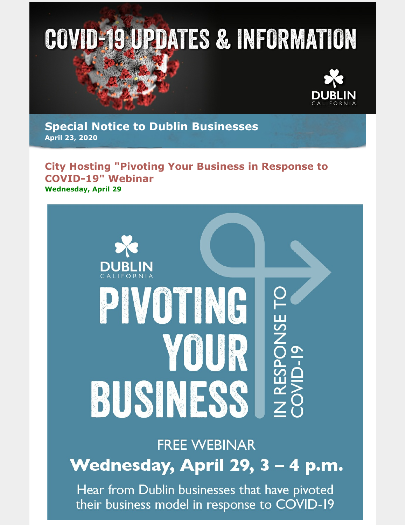

**Special Notice to Dublin Businesses April 23, 2020**

## **City Hosting "Pivoting Your Business in Response to COVID-19" Webinar Wednesday, April 29**



## **FREE WEBINAR**

Wednesday, April 29, 3 - 4 p.m.

Hear from Dublin businesses that have pivoted their business model in response to COVID-19